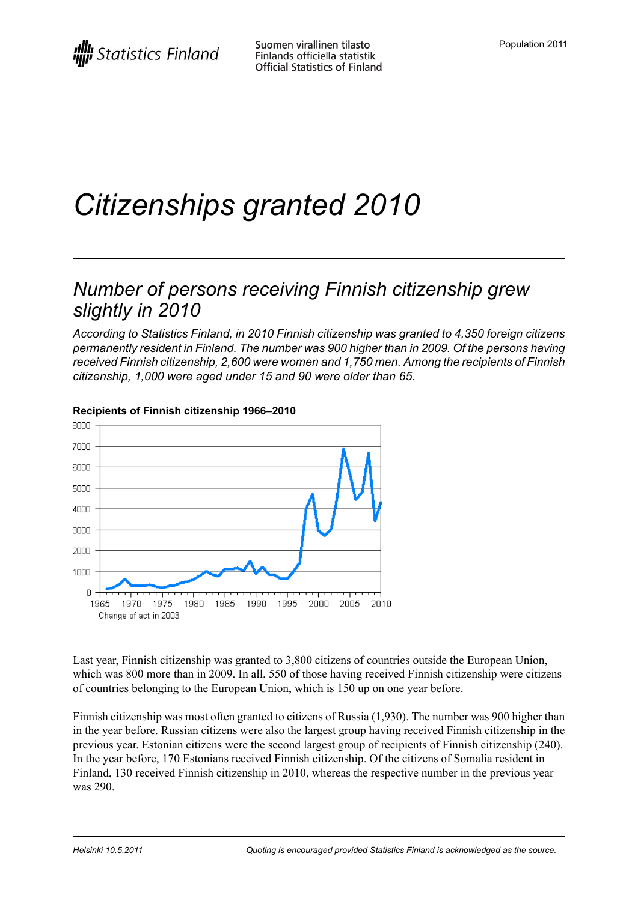# *Citizenships granted 2010*

## *Number of persons receiving Finnish citizenship grew slightly in 2010*

*According to Statistics Finland, in 2010 Finnish citizenship was granted to 4,350 foreign citizens permanently resident in Finland. The number was 900 higher than in 2009. Of the persons having received Finnish citizenship, 2,600 were women and 1,750 men. Among the recipients of Finnish citizenship, 1,000 were aged under 15 and 90 were older than 65.*



#### **Recipients of Finnish citizenship 1966–2010**

Last year, Finnish citizenship was granted to 3,800 citizens of countries outside the European Union, which was 800 more than in 2009. In all, 550 of those having received Finnish citizenship were citizens of countries belonging to the European Union, which is 150 up on one year before.

Finnish citizenship was most often granted to citizens of Russia (1,930). The number was 900 higher than in the year before. Russian citizens were also the largest group having received Finnish citizenship in the previous year. Estonian citizens were the second largest group of recipients of Finnish citizenship (240). In the year before, 170 Estonians received Finnish citizenship. Of the citizens of Somalia resident in Finland, 130 received Finnish citizenship in 2010, whereas the respective number in the previous year was 290.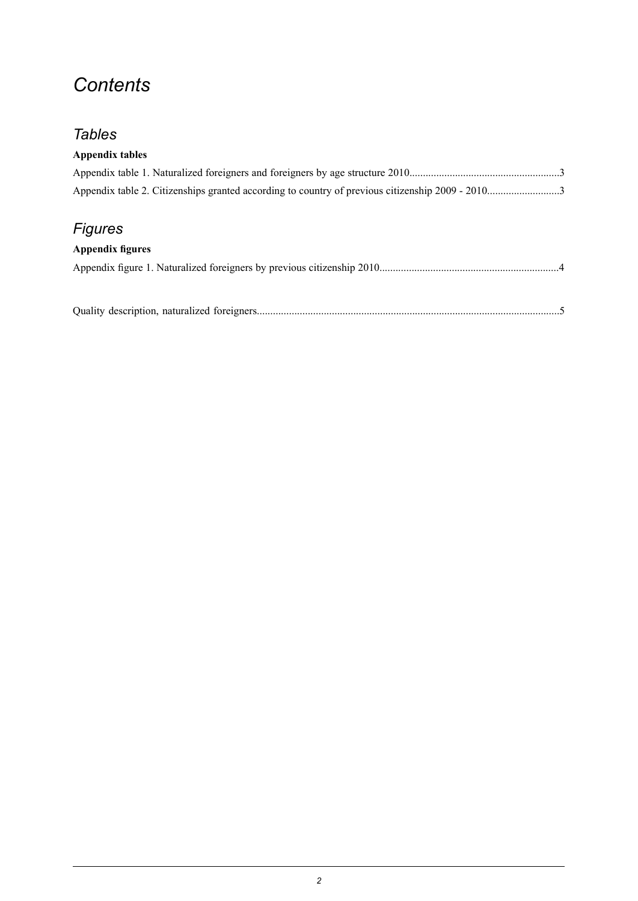## *Contents*

## *Tables*

#### **Appendix tables**

## *Figures*

#### **Appendix figures**

Quality description, naturalized [foreigners.................................................................................................................5](#page-4-0)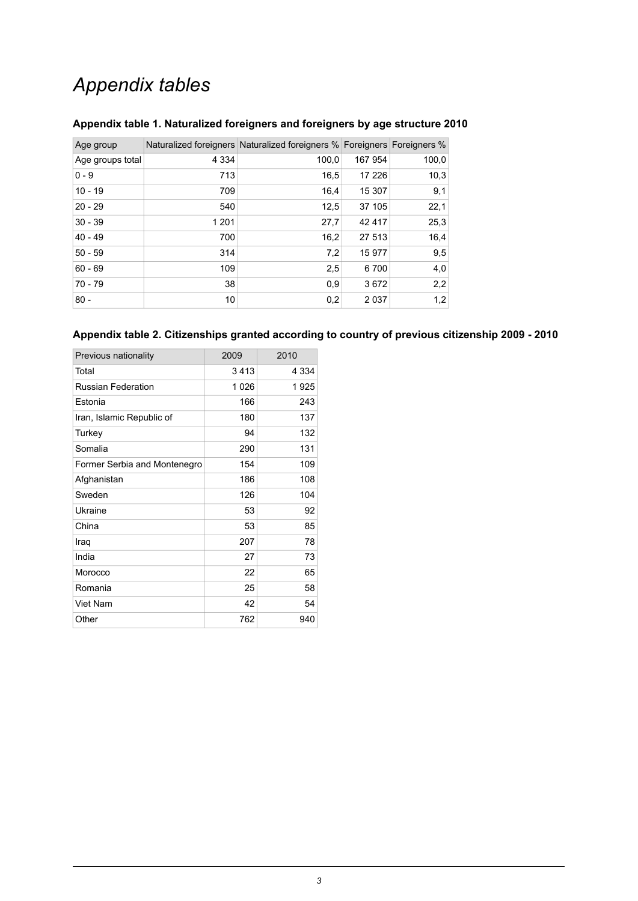## *Appendix tables*

| Age group        |         | Naturalized foreigners Naturalized foreigners % Foreigners Foreigners % |         |       |
|------------------|---------|-------------------------------------------------------------------------|---------|-------|
| Age groups total | 4 3 3 4 | 100,0                                                                   | 167 954 | 100,0 |
| $0 - 9$          | 713     | 16,5                                                                    | 17 226  | 10,3  |
| $10 - 19$        | 709     | 16.4                                                                    | 15 307  | 9,1   |
| $20 - 29$        | 540     | 12,5                                                                    | 37 105  | 22,1  |
| $30 - 39$        | 1 2 0 1 | 27,7                                                                    | 42 417  | 25,3  |
| $40 - 49$        | 700     | 16,2                                                                    | 27 513  | 16,4  |
| $50 - 59$        | 314     | 7,2                                                                     | 15 977  | 9,5   |
| $60 - 69$        | 109     | 2,5                                                                     | 6700    | 4,0   |
| $70 - 79$        | 38      | 0,9                                                                     | 3672    | 2,2   |
| $80 -$           | 10      | 0,2                                                                     | 2 0 3 7 | 1,2   |

#### <span id="page-2-0"></span>**Appendix table 1. Naturalized foreigners and foreigners by age structure 2010**

#### <span id="page-2-1"></span>**Appendix table 2. Citizenships granted according to country of previous citizenship 2009 - 2010**

| Previous nationality         | 2009 | 2010    |
|------------------------------|------|---------|
| Total                        | 3413 | 4 3 3 4 |
| <b>Russian Federation</b>    | 1026 | 1925    |
| Estonia                      | 166  | 243     |
| Iran, Islamic Republic of    | 180  | 137     |
| Turkey                       | 94   | 132     |
| Somalia                      | 290  | 131     |
| Former Serbia and Montenegro | 154  | 109     |
| Afghanistan                  | 186  | 108     |
| Sweden                       | 126  | 104     |
| Ukraine                      | 53   | 92      |
| China                        | 53   | 85      |
| Iraq                         | 207  | 78      |
| India                        | 27   | 73      |
| Morocco                      | 22   | 65      |
| Romania                      | 25   | 58      |
| Viet Nam                     | 42   | 54      |
| Other                        | 762  | 940     |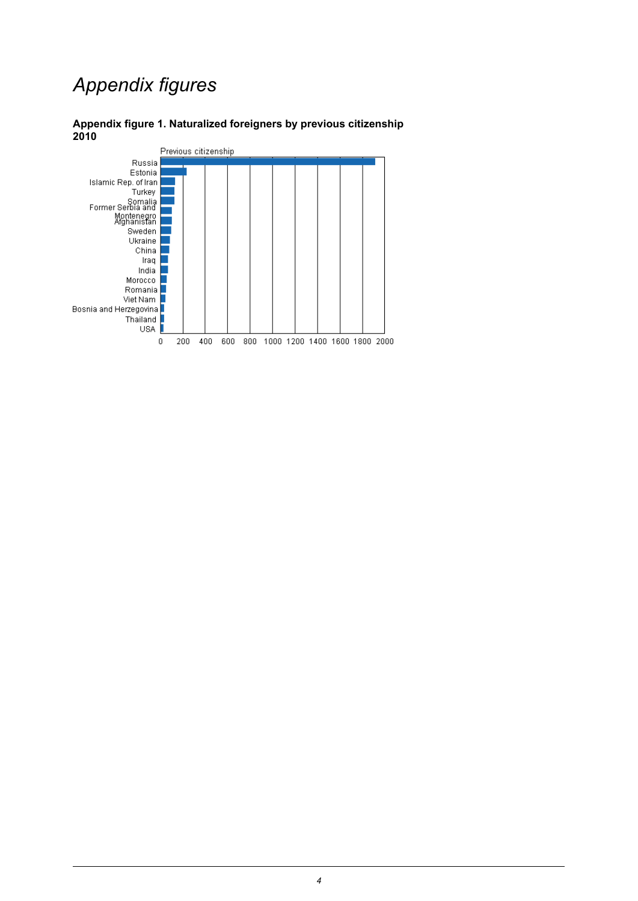## *Appendix figures*



#### <span id="page-3-0"></span>**Appendix figure 1. Naturalized foreigners by previous citizenship 2010**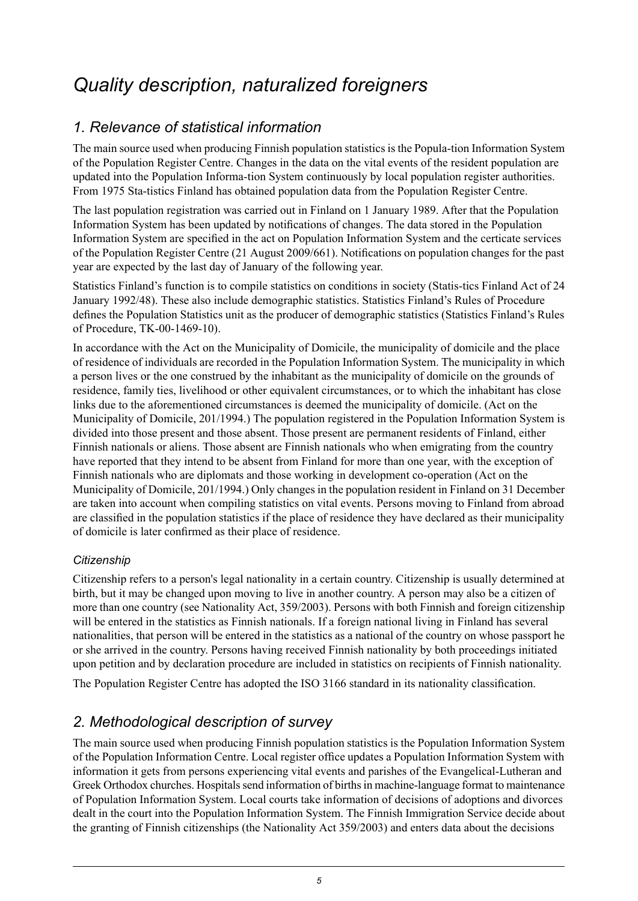## <span id="page-4-0"></span>*Quality description, naturalized foreigners*

## *1. Relevance of statistical information*

The main source used when producing Finnish population statistics is the Popula-tion Information System of the Population Register Centre. Changes in the data on the vital events of the resident population are updated into the Population Informa-tion System continuously by local population register authorities. From 1975 Sta-tistics Finland has obtained population data from the Population Register Centre.

The last population registration was carried out in Finland on 1 January 1989. After that the Population Information System has been updated by notifications of changes. The data stored in the Population Information System are specified in the act on Population Information System and the certicate services of the Population Register Centre (21 August 2009/661). Notifications on population changes for the past year are expected by the last day of January of the following year.

Statistics Finland's function is to compile statistics on conditions in society (Statis-tics Finland Act of 24 January 1992/48). These also include demographic statistics. Statistics Finland's Rules of Procedure defines the Population Statistics unit as the producer of demographic statistics (Statistics Finland's Rules of Procedure, TK-00-1469-10).

In accordance with the Act on the Municipality of Domicile, the municipality of domicile and the place of residence of individuals are recorded in the Population Information System. The municipality in which a person lives or the one construed by the inhabitant as the municipality of domicile on the grounds of residence, family ties, livelihood or other equivalent circumstances, or to which the inhabitant has close links due to the aforementioned circumstances is deemed the municipality of domicile. (Act on the Municipality of Domicile, 201/1994.) The population registered in the Population Information System is divided into those present and those absent. Those present are permanent residents of Finland, either Finnish nationals or aliens. Those absent are Finnish nationals who when emigrating from the country have reported that they intend to be absent from Finland for more than one year, with the exception of Finnish nationals who are diplomats and those working in development co-operation (Act on the Municipality of Domicile, 201/1994.) Only changes in the population resident in Finland on 31 December are taken into account when compiling statistics on vital events. Persons moving to Finland from abroad are classified in the population statistics if the place of residence they have declared as their municipality of domicile is later confirmed as their place of residence.

#### *Citizenship*

Citizenship refers to a person's legal nationality in a certain country. Citizenship is usually determined at birth, but it may be changed upon moving to live in another country. A person may also be a citizen of more than one country (see Nationality Act, 359/2003). Persons with both Finnish and foreign citizenship will be entered in the statistics as Finnish nationals. If a foreign national living in Finland has several nationalities, that person will be entered in the statistics as a national of the country on whose passport he or she arrived in the country. Persons having received Finnish nationality by both proceedings initiated upon petition and by declaration procedure are included in statistics on recipients of Finnish nationality.

The Population Register Centre has adopted the ISO 3166 standard in its nationality classification.

### *2. Methodological description of survey*

The main source used when producing Finnish population statistics is the Population Information System of the Population Information Centre. Local register office updates a Population Information System with information it gets from persons experiencing vital events and parishes of the Evangelical-Lutheran and Greek Orthodox churches. Hospitals send information of births in machine-language format to maintenance of Population Information System. Local courts take information of decisions of adoptions and divorces dealt in the court into the Population Information System. The Finnish Immigration Service decide about the granting of Finnish citizenships (the Nationality Act 359/2003) and enters data about the decisions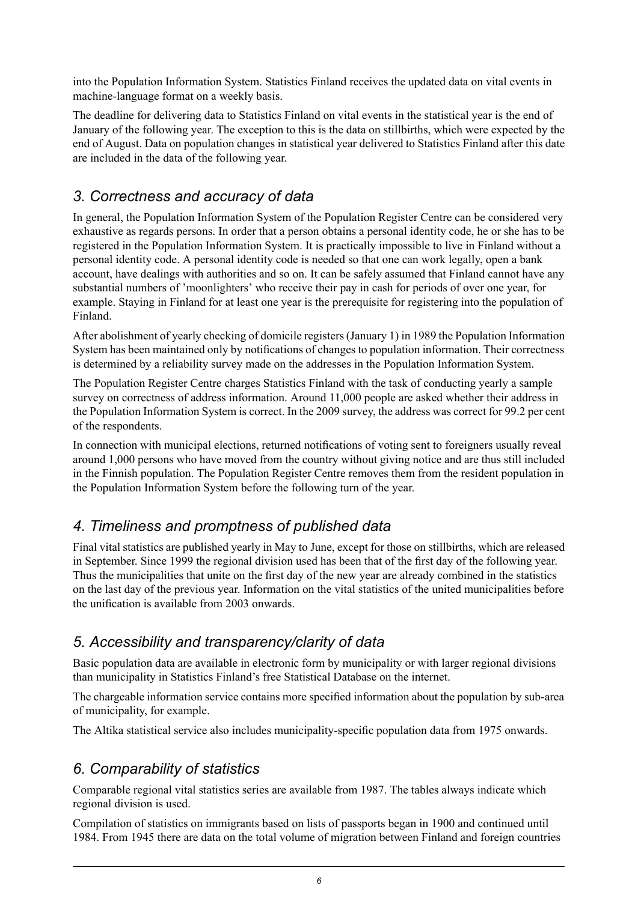into the Population Information System. Statistics Finland receives the updated data on vital events in machine-language format on a weekly basis.

The deadline for delivering data to Statistics Finland on vital events in the statistical year is the end of January of the following year. The exception to this is the data on stillbirths, which were expected by the end of August. Data on population changes in statistical year delivered to Statistics Finland after this date are included in the data of the following year.

### *3. Correctness and accuracy of data*

In general, the Population Information System of the Population Register Centre can be considered very exhaustive as regards persons. In order that a person obtains a personal identity code, he or she has to be registered in the Population Information System. It is practically impossible to live in Finland without a personal identity code. A personal identity code is needed so that one can work legally, open a bank account, have dealings with authorities and so on. It can be safely assumed that Finland cannot have any substantial numbers of 'moonlighters' who receive their pay in cash for periods of over one year, for example. Staying in Finland for at least one year is the prerequisite for registering into the population of Finland.

After abolishment of yearly checking of domicile registers (January 1) in 1989 the Population Information System has been maintained only by notifications of changes to population information. Their correctness is determined by a reliability survey made on the addresses in the Population Information System.

The Population Register Centre charges Statistics Finland with the task of conducting yearly a sample survey on correctness of address information. Around 11,000 people are asked whether their address in the Population Information System is correct. In the 2009 survey, the address was correct for 99.2 per cent of the respondents.

In connection with municipal elections, returned notifications of voting sent to foreigners usually reveal around 1,000 persons who have moved from the country without giving notice and are thus still included in the Finnish population. The Population Register Centre removes them from the resident population in the Population Information System before the following turn of the year.

### *4. Timeliness and promptness of published data*

Final vital statistics are published yearly in May to June, except for those on stillbirths, which are released in September. Since 1999 the regional division used has been that of the first day of the following year. Thus the municipalities that unite on the first day of the new year are already combined in the statistics on the last day of the previous year. Information on the vital statistics of the united municipalities before the unification is available from 2003 onwards.

### *5. Accessibility and transparency/clarity of data*

Basic population data are available in electronic form by municipality or with larger regional divisions than municipality in Statistics Finland's free Statistical Database on the internet.

The chargeable information service contains more specified information about the population by sub-area of municipality, for example.

The Altika statistical service also includes municipality-specific population data from 1975 onwards.

## *6. Comparability of statistics*

Comparable regional vital statistics series are available from 1987. The tables always indicate which regional division is used.

Compilation of statistics on immigrants based on lists of passports began in 1900 and continued until 1984. From 1945 there are data on the total volume of migration between Finland and foreign countries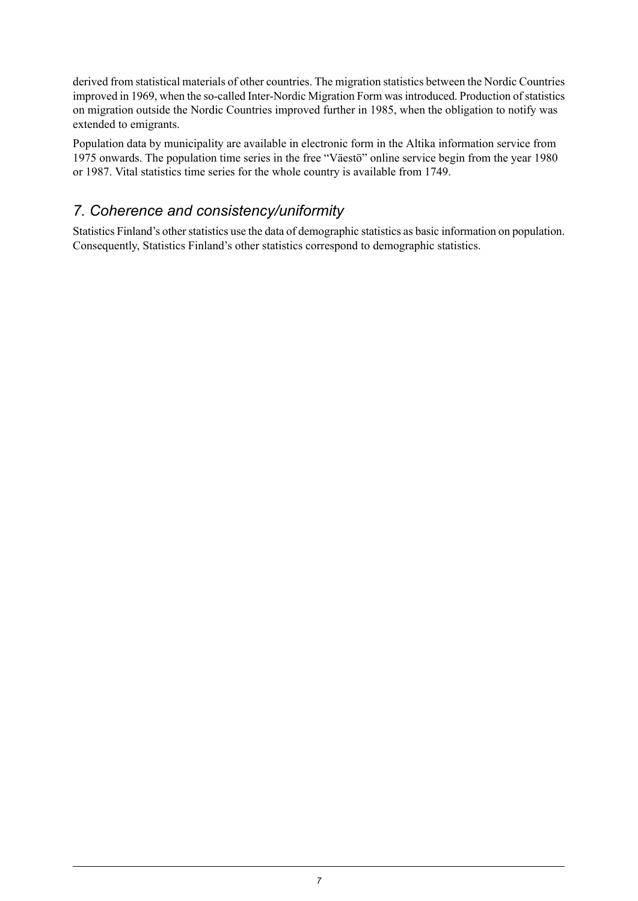derived from statistical materials of other countries. The migration statistics between the Nordic Countries improved in 1969, when the so-called Inter-Nordic Migration Form was introduced. Production of statistics on migration outside the Nordic Countries improved further in 1985, when the obligation to notify was extended to emigrants.

Population data by municipality are available in electronic form in the Altika information service from 1975 onwards. The population time series in the free "Väestö" online service begin from the year 1980 or 1987. Vital statistics time series for the whole country is available from 1749.

### *7. Coherence and consistency/uniformity*

Statistics Finland's other statistics use the data of demographic statistics as basic information on population. Consequently, Statistics Finland's other statistics correspond to demographic statistics.